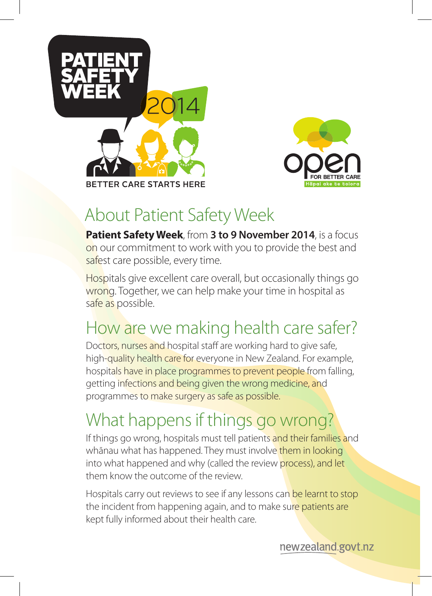



### About Patient Safety Week

**Patient Safety Week**, from **3 to 9 November 2014**, is a focus on our commitment to work with you to provide the best and safest care possible, every time.

Hospitals give excellent care overall, but occasionally things go wrong. Together, we can help make your time in hospital as safe as possible.

## How are we making health care safer?

Doctors, nurses and hospital staff are working hard to give safe, high-quality health care for everyone in New Zealand. For example, hospitals have in place programmes to prevent people from falling, getting infections and being given the wrong medicine, and programmes to make surgery as safe as possible.

# What happens if things go wrong?

If things go wrong, hospitals must tell patients and their families and whānau what has happened. They must involve them in looking into what happened and why (called the review process), and let them know the outcome of the review.

Hospitals carry out reviews to see if any lessons can be learnt to stop the incident from happening again, and to make sure patients are kept fully informed about their health care.

newzealand.govt.nz